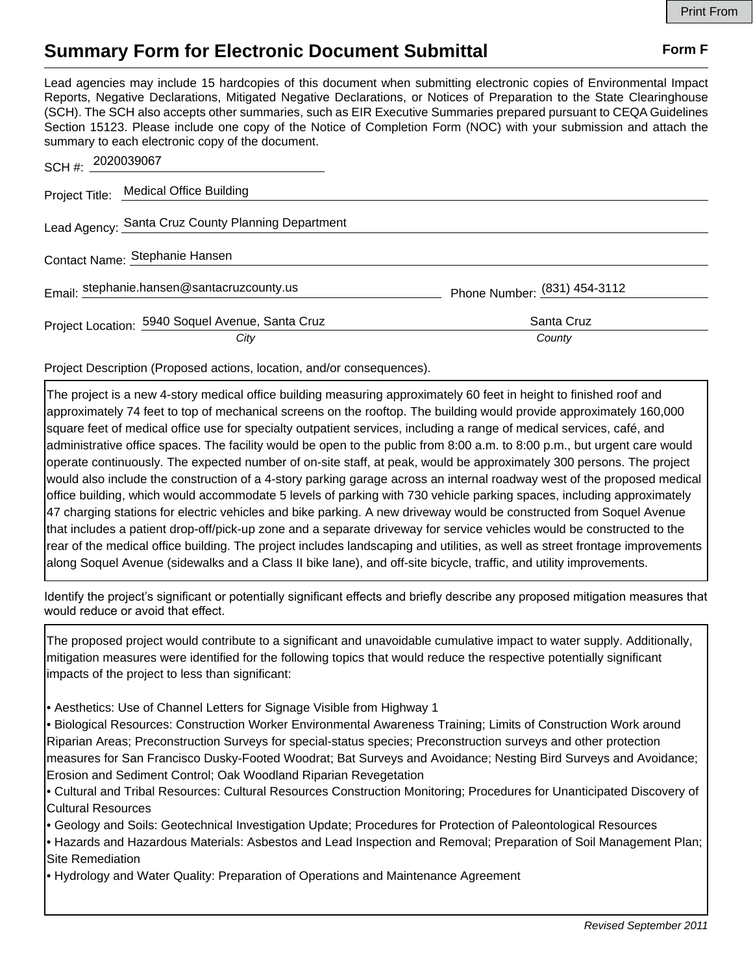## **Summary Form for Electronic Document Submittal Form F Form F**

Lead agencies may include 15 hardcopies of this document when submitting electronic copies of Environmental Impact Reports, Negative Declarations, Mitigated Negative Declarations, or Notices of Preparation to the State Clearinghouse (SCH). The SCH also accepts other summaries, such as EIR Executive Summaries prepared pursuant to CEQA Guidelines Section 15123. Please include one copy of the Notice of Completion Form (NOC) with your submission and attach the summary to each electronic copy of the document.

| SCH #: 2020039067                                        |                              |
|----------------------------------------------------------|------------------------------|
| Project Title: Medical Office Building                   |                              |
| Lead Agency: Santa Cruz County Planning Department       |                              |
| Contact Name: Stephanie Hansen                           |                              |
| Email: stephanie.hansen@santacruzcounty.us               | Phone Number: (831) 454-3112 |
| Project Location: 5940 Soquel Avenue, Santa Cruz<br>City | Santa Cruz<br>County         |

Project Description (Proposed actions, location, and/or consequences).

The project is a new 4-story medical office building measuring approximately 60 feet in height to finished roof and approximately 74 feet to top of mechanical screens on the rooftop. The building would provide approximately 160,000 square feet of medical office use for specialty outpatient services, including a range of medical services, café, and administrative office spaces. The facility would be open to the public from 8:00 a.m. to 8:00 p.m., but urgent care would operate continuously. The expected number of on-site staff, at peak, would be approximately 300 persons. The project would also include the construction of a 4-story parking garage across an internal roadway west of the proposed medical office building, which would accommodate 5 levels of parking with 730 vehicle parking spaces, including approximately 47 charging stations for electric vehicles and bike parking. A new driveway would be constructed from Soquel Avenue that includes a patient drop-off/pick-up zone and a separate driveway for service vehicles would be constructed to the rear of the medical office building. The project includes landscaping and utilities, as well as street frontage improvements along Soquel Avenue (sidewalks and a Class II bike lane), and off-site bicycle, traffic, and utility improvements.

Identify the project's significant or potentially significant effects and briefly describe any proposed mitigation measures that would reduce or avoid that effect.

The proposed project would contribute to a significant and unavoidable cumulative impact to water supply. Additionally, mitigation measures were identified for the following topics that would reduce the respective potentially significant impacts of the project to less than significant:

- Aesthetics: Use of Channel Letters for Signage Visible from Highway 1
- Biological Resources: Construction Worker Environmental Awareness Training; Limits of Construction Work around Riparian Areas; Preconstruction Surveys for special-status species; Preconstruction surveys and other protection measures for San Francisco Dusky-Footed Woodrat; Bat Surveys and Avoidance; Nesting Bird Surveys and Avoidance; Erosion and Sediment Control; Oak Woodland Riparian Revegetation
- Cultural and Tribal Resources: Cultural Resources Construction Monitoring; Procedures for Unanticipated Discovery of Cultural Resources
- Geology and Soils: Geotechnical Investigation Update; Procedures for Protection of Paleontological Resources
- Hazards and Hazardous Materials: Asbestos and Lead Inspection and Removal; Preparation of Soil Management Plan; Site Remediation
- Hydrology and Water Quality: Preparation of Operations and Maintenance Agreement